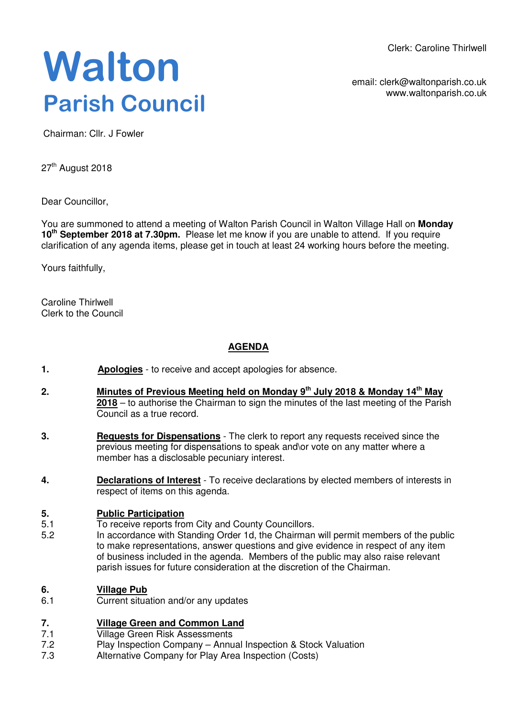Clerk: Caroline Thirlwell

**Walton Parish Council** 

email: clerk@waltonparish.co.uk www.waltonparish.co.uk

Chairman: Cllr. J Fowler

27<sup>th</sup> August 2018

Dear Councillor,

You are summoned to attend a meeting of Walton Parish Council in Walton Village Hall on **Monday 10th September 2018 at 7.30pm.** Please let me know if you are unable to attend. If you require clarification of any agenda items, please get in touch at least 24 working hours before the meeting.

Yours faithfully,

Caroline Thirlwell Clerk to the Council

# **AGENDA**

- **1. Apologies** to receive and accept apologies for absence.
- **2. Minutes of Previous Meeting held on Monday 9th July 2018 & Monday 14th May 2018** – to authorise the Chairman to sign the minutes of the last meeting of the Parish Council as a true record.
- **3. Requests for Dispensations** The clerk to report any requests received since the previous meeting for dispensations to speak and\or vote on any matter where a member has a disclosable pecuniary interest.
- **4. Declarations of Interest** To receive declarations by elected members of interests in respect of items on this agenda.

# **5. Public Participation**

- 5.1 To receive reports from City and County Councillors.
- 5.2 In accordance with Standing Order 1d, the Chairman will permit members of the public to make representations, answer questions and give evidence in respect of any item of business included in the agenda. Members of the public may also raise relevant parish issues for future consideration at the discretion of the Chairman.

### **6. Village Pub**

6.1 Current situation and/or any updates

### **7. Village Green and Common Land**

- 7.1 Village Green Risk Assessments
- 7.2 Play Inspection Company – Annual Inspection & Stock Valuation
- 7.3 Alternative Company for Play Area Inspection (Costs)